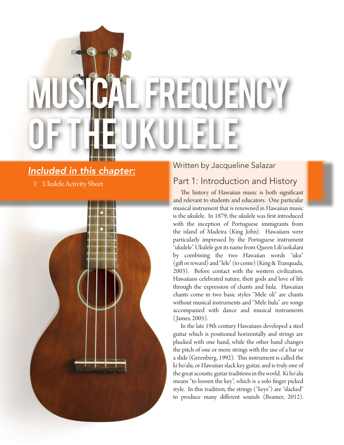# $E[\mathbf{U}|\mathbf{U}]\mathbf{E}[\mathbf{V}|\mathbf{U}]^{\mathsf{v}}]$ OF THE UKULELE

# *Included in this chapter:*

◊ Ukulele Activity Sheet



## Written by Jacqueline Salazar

# Part 1: Introduction and History

The history of Hawaiian music is both significant and relevant to students and educators. One particular musical instrument that is renowned in Hawaiian music is the ukulele. In 1879, the ukulele was first introduced with the inception of Portuguese immigrants from the island of Madeira (King John). Hawaiians were particularly impressed by the Portuguese instrument "ukulele". Ukulele got its name from Queen Liliʻuokalani by combining the two Hawaiian words "uku" (gift or reward) and "lele" (to come) (King & Tranquada, 2003). Before contact with the western civilization, Hawaiians celebrated nature, their gods and love of life through the expression of chants and hula. Hawaiian chants come in two basic styles "Mele oli" are chants without musical instruments and "Mele hula" are songs accompanied with dance and musical instruments ( James, 2005).

In the late 19th century Hawaiians developed a steel guitar which is positioned horizontally and strings are plucked with one hand, while the other hand changes the pitch of one or more strings with the use of a bar or a slide (Greenberg, 1992). This instrument is called the ki hoʻalu, or Hawaiian slack key guitar, and is truly one of the great acoustic guitar traditions in the world. Ki hoʻalu means "to loosen the key", which is a solo finger picked style. In this tradition, the strings ("keys") are "slacked" to produce many different sounds (Beamer, 2012).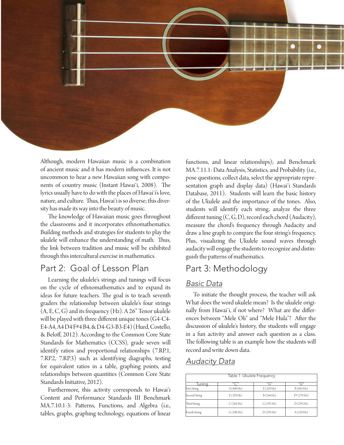

Although, modern Hawaiian music is a combination of ancient music and it has modern influences. It is not uncommon to hear a new Hawaiian song with components of country music (Instant Hawaiʻi, 2008). The lyrics usually have to do with the places of Hawaiʻi's love, nature, and culture. Thus, Hawaiʻi is so diverse; this diversity has made its way into the beauty of music.

The knowledge of Hawaiian music goes throughout the classrooms and it incorporates ethnomathematics. Building methods and strategies for students to play the ukulele will enhance the understanding of math. Thus, the link between tradition and music will be exhibited through this intercultural exercise in mathematics.

## Part 2: Goal of Lesson Plan

Learning the ukulele's strings and tunings will focus on the cycle of ethnomathematics and to expand its ideas for future teachers. The goal is to teach seventh graders the relationship between ukulele's four strings (A, E, C, G) and its frequency (Hz). A 26" Tenor ukulele will be played with three different unique tones (G4-C4- E4-A4, A4 D4 F#4 B4, & D4-G3-B3-E4) (Hurd, Costello, & Beloff, 2012). According to the Common Core State Standards for Mathematics (CCSS), grade seven will identify ratios and proportional relationships (7.RP.1, 7.RP.2, 7.RP.3) such as identifying diagraphs, testing for equivalent ratios in a table, graphing points, and relationships between quantities (Common Core State Standards Initiative, 2012).

Furthermore, this activity corresponds to Hawaiʻi Content and Performance Standards III Benchmark MA.7.10.1-3: Patterns, Functions, and Algebra (i.e., tables, graphs, graphing technology, equations of linear functions, and linear relationships); and Benchmark MA.7.11.1: Data Analysis, Statistics, and Probability (i.e., pose questions, collect data, select the appropriate representation graph and display data) (Hawaiʻi Standards Database, 2011). Students will learn the basic history of the Ukulele and the importance of the tones. Also, students will identify each string, analyze the three different tuning  $(C, G, D)$ , record each chord (Audacity), measure the chord's frequency through Audacity and draw a line graph to compare the four string's frequency. Plus, visualizing the Ukulele sound waves through audacity will engage the students to recognize and distinguish the patterns of mathematics.

## Part 3: Methodology

#### *Basic Data*

To initiate the thought process, the teacher will ask What does the word ukulele mean? Is the ukulele originally from Hawaiʻi, if not where? What are the differences between "Mele Oli" and "Mele Hula"? After the discussion of ukulele's history, the students will engage in a fun activity and answer each question as a class. The following table is an example how the students will record and write down data.

#### *Audacity Data*

| Table 1: Ukulele Frequency |                                       |                     |                          |  |  |  |
|----------------------------|---------------------------------------|---------------------|--------------------------|--|--|--|
| Tuning                     | $^{\prime\prime}$ C $^{\prime\prime}$ | $''$ G"             | $^{\prime\prime}$ $\Box$ |  |  |  |
| <b>First String</b>        | A(440 Hz)                             | E(329 Hz)           | B (493 Hz)               |  |  |  |
| Second String              | E(329 Hz)                             | B(246 Hz)           | F# (370 Hz)              |  |  |  |
| Third String               | C(264 Hz)                             | $G(192 \text{ Hz})$ | D(293 Hz)                |  |  |  |
| Fourth String              | G(196 Hz)                             | D(293 Hz)           | A(220 Hz)                |  |  |  |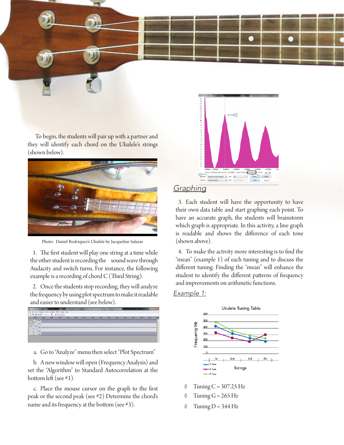To begin, the students will pair up with a partner and they will identify each chord on the Ukulele's strings (shown below).



Photo: Daniel Rodriquez's Ukulele by Jacqueline Salazar

1. The first student will play one string at a time while the other student is recording the sound wave through Audacity and switch turns. For instance, the following example is a recording of chord C (Third String).

2. Once the students stop recording, they will analyze the frequency by using plot spectrum to make it readable and easier to understand (see below).



a. Go to "Analyze" menu then select "Plot Spectrum"

b. A new window will open (Frequency Analysis) and set the "Algorithm" to Standard Autocorrelation at the bottom left (see #1).

c. Place the mouse cursor on the graph to the first peak or the second peak (see #2) Determine the chord's name and its frequency at the bottom (see #3).



#### *Graphing*

3. Each student will have the opportunity to have their own data table and start graphing each point. To have an accurate graph, the students will brainstorm which graph is appropriate. In this activity, a line graph is readable and shows the difference of each tone (shown above).

4. To make the activity more interesting is to find the "mean" (example 1) of each tuning and to discuss the different tuning. Finding the "mean" will enhance the student to identify the different patterns of frequency and improvements on arithmetic functions.

#### *Example 1:*



- $\Diamond$  Tuning C = 307.25 Hz
- $\Diamond$  Tuning G = 265 Hz
- $\Diamond$  Tuning D = 344 Hz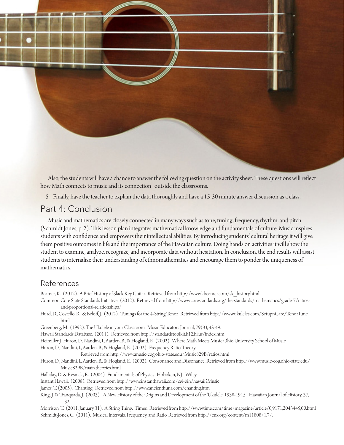

Also, the students will have a chance to answer the following question on the activity sheet. These questions will reflect how Math connects to music and its connection outside the classrooms.

5. Finally, have the teacher to explain the data thoroughly and have a 15-30 minute answer discussion as a class.

## Part 4: Conclusion

Music and mathematics are closely connected in many ways such as tone, tuning, frequency, rhythm, and pitch (Schmidt Jones, p. 2). This lesson plan integrates mathematical knowledge and fundamentals of culture. Music inspires students with confidence and empowers their intellectual abilities. By introducing students' cultural heritage it will give them positive outcomes in life and the importance of the Hawaiian culture. Doing hands on activities it will show the student to examine, analyze, recognize, and incorporate data without hesitation. In conclusion, the end results will assist students to internalize their understanding of ethnomathematics and encourage them to ponder the uniqueness of mathematics.

#### References

Beamer, K. (2012). A Brief History of Slack Key Guitar. Retrieved from http://www.kbeamer.com/sk\_history.html

- Common Core State Standards Initiative. (2012). Retrieved from http://www.corestandards.org/the-standards/mathematics/grade-7/ratiosand-proportional-relationships/
- Hurd, D., Costello, R., & Beloff, J. (2012). Tunings for the 4-String Tenor. Retrieved from http://www.ukuleles.com/SetupnCare/TenorTune. html

Greenberg, M. (1992). The Ukulele in your Classroom. Music Educators Journal, 79(3), 43-49.

Hawaii Standards Database. (2011). Retrieved from http://standardstoolkit.k12.hi.us/index.htm

Heimiller J., Huron, D., Nandini, I., Aarden, B., & Hogland, E. (2002). Where Math Meets Music Ohio University School of Music.

Huron, D., Nandini, I., Aarden, B., & Hogland, E. (2002). Frequency Ratio Theory.

Retrieved from http://www.music-cog.ohio-state.edu/Music829B/ratios.html

- Huron, D., Nandini, I., Aarden, B., & Hogland, E. (2002). Consonance and Dissonance. Retrieved from http://www.music-cog.ohio-state.edu/ Music829B/main.theories.html
- Halliday, D. & Resnick, R. (2004). Fundamentals of Physics. Hoboken, NJ: Wiley.

Instant Hawaii. (2008). Retrieved from http://www.instanthawaii.com/cgi-bin/hawaii?Music

James, T. (2005). Chanting. Retrieved from http://www.ancienthuna.com/chanting.htm

King, J. & Tranquada, J. (2003). A New History of the Origins and Development of the 'Ukulele, 1938-1915. Hawaiian Journal of History, 37, 1-32.

Morrison, T. (2011, January 31). A String Thing. Times. Retrieved from http://www.time.com/time/magazine/article/0,9171,2043445,00.html Schmidt-Jones, C. (2011). Musical Intervals, Frequency, and Ratio. Retrieved from http://cnx.org/content/m11808/1.7/.